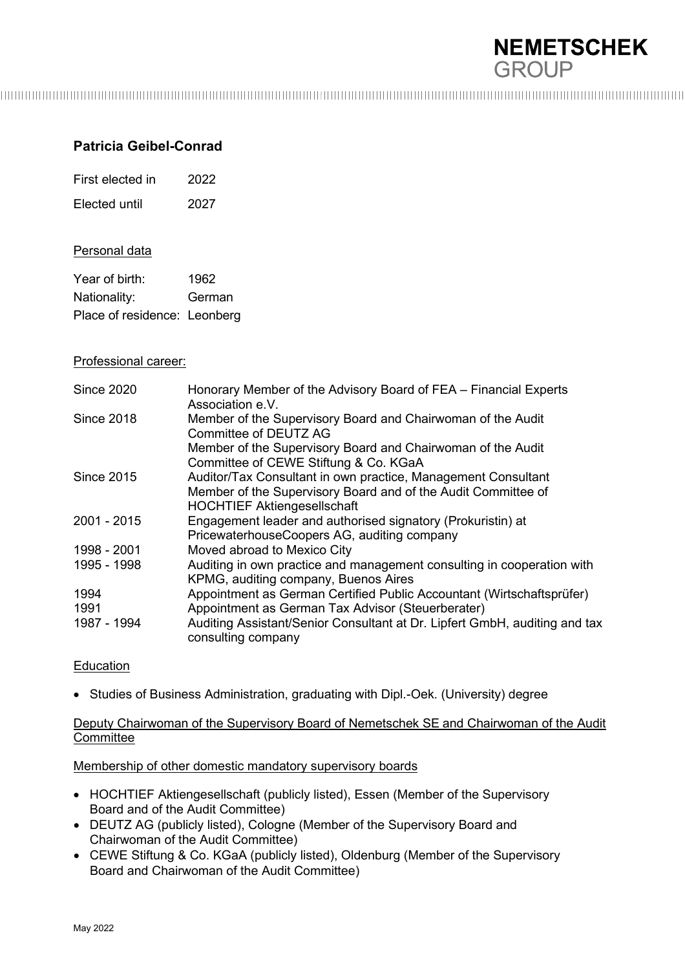

# **Patricia Geibel-Conrad**

First elected in 2022 Elected until 2027

#### Personal data

| Year of birth:               | 1962   |
|------------------------------|--------|
| Nationality:                 | German |
| Place of residence: Leonberg |        |

#### Professional career:

| <b>Since 2020</b> | Honorary Member of the Advisory Board of FEA - Financial Experts<br>Association e.V.                                                                                 |
|-------------------|----------------------------------------------------------------------------------------------------------------------------------------------------------------------|
| <b>Since 2018</b> | Member of the Supervisory Board and Chairwoman of the Audit<br>Committee of DEUTZ AG                                                                                 |
|                   | Member of the Supervisory Board and Chairwoman of the Audit<br>Committee of CEWE Stiftung & Co. KGaA                                                                 |
| <b>Since 2015</b> | Auditor/Tax Consultant in own practice, Management Consultant<br>Member of the Supervisory Board and of the Audit Committee of<br><b>HOCHTIEF Aktiengesellschaft</b> |
| 2001 - 2015       | Engagement leader and authorised signatory (Prokuristin) at<br>PricewaterhouseCoopers AG, auditing company                                                           |
| 1998 - 2001       | Moved abroad to Mexico City                                                                                                                                          |
| 1995 - 1998       | Auditing in own practice and management consulting in cooperation with<br>KPMG, auditing company, Buenos Aires                                                       |
| 1994              | Appointment as German Certified Public Accountant (Wirtschaftsprüfer)                                                                                                |
| 1991              | Appointment as German Tax Advisor (Steuerberater)                                                                                                                    |
| 1987 - 1994       | Auditing Assistant/Senior Consultant at Dr. Lipfert GmbH, auditing and tax<br>consulting company                                                                     |

## Education

• Studies of Business Administration, graduating with Dipl.-Oek. (University) degree

## Deputy Chairwoman of the Supervisory Board of Nemetschek SE and Chairwoman of the Audit **Committee**

## Membership of other domestic mandatory supervisory boards

- HOCHTIEF Aktiengesellschaft (publicly listed), Essen (Member of the Supervisory Board and of the Audit Committee)
- DEUTZ AG (publicly listed), Cologne (Member of the Supervisory Board and Chairwoman of the Audit Committee)
- CEWE Stiftung & Co. KGaA (publicly listed), Oldenburg (Member of the Supervisory Board and Chairwoman of the Audit Committee)